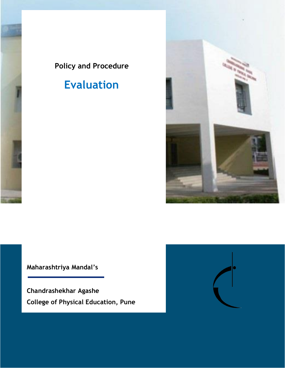## **Policy and Procedure**

# **Evaluation**



**Maharashtriya Mandal's**

**Chandrashekhar Agashe College of Physical Education, Pune**

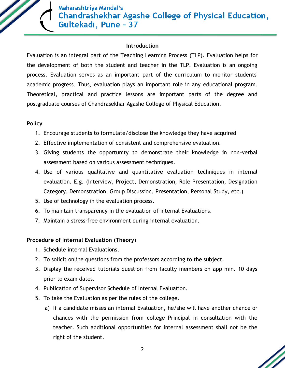

#### **Introduction**

Evaluation is an integral part of the Teaching Learning Process (TLP). Evaluation helps for the development of both the student and teacher in the TLP. Evaluation is an ongoing process. Evaluation serves as an important part of the curriculum to monitor students' academic progress. Thus, evaluation plays an important role in any educational program. Theoretical, practical and practice lessons are important parts of the degree and postgraduate courses of Chandrasekhar Agashe College of Physical Education.

#### **Policy**

- 1. Encourage students to formulate/disclose the knowledge they have acquired
- 2. Effective implementation of consistent and comprehensive evaluation.
- 3. Giving students the opportunity to demonstrate their knowledge in non-verbal assessment based on various assessment techniques.
- 4. Use of various qualitative and quantitative evaluation techniques in internal evaluation. E.g. (Interview, Project, Demonstration, Role Presentation, Designation Category, Demonstration, Group Discussion, Presentation, Personal Study, etc.)
- 5. Use of technology in the evaluation process.
- 6. To maintain transparency in the evaluation of internal Evaluations.
- 7. Maintain a stress-free environment during internal evaluation.

#### **Procedure of Internal Evaluation (Theory)**

- 1. Schedule internal Evaluations.
- 2. To solicit online questions from the professors according to the subject.
- 3. Display the received tutorials question from faculty members on app min. 10 days prior to exam dates.
- 4. Publication of Supervisor Schedule of Internal Evaluation.
- 5. To take the Evaluation as per the rules of the college.
	- a) If a candidate misses an internal Evaluation, he/she will have another chance or chances with the permission from college Principal in consultation with the teacher. Such additional opportunities for internal assessment shall not be the right of the student.

2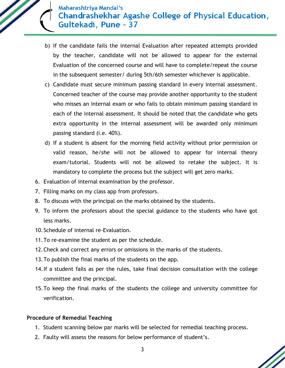### Maharashtriya Mandal's **Chandrashekhar Agashe College of Physical Education,** Gultekadi, Pune - 37

- b) If the candidate fails the internal Evaluation after repeated attempts provided by the teacher, candidate will not be allowed to appear for the external Evaluation of the concerned course and will have to complete/repeat the course in the subsequent semester/ during 5th/6th semester whichever is applicable.
- c) Candidate must secure minimum passing standard in every internal assessment. Concerned teacher of the course may provide another opportunity to the student who misses an internal exam or who fails to obtain minimum passing standard in each of the internal assessment. It should be noted that the candidate who gets extra opportunity in the internal assessment will be awarded only minimum passing standard (i.e. 40%).
- d) If a student is absent for the morning field activity without prior permission or valid reason, he/she will not be allowed to appear for internal theory exam/tutorial. Students will not be allowed to retake the subject. It is mandatory to complete the process but the subject will get zero marks.
- 6. Evaluation of internal examination by the professor.
- 7. Filling marks on my class app from professors.
- 8. To discuss with the principal on the marks obtained by the students.
- 9. To inform the professors about the special guidance to the students who have got less marks.
- 10.Schedule of internal re-Evaluation.
- 11.To re-examine the student as per the schedule.
- 12.Check and correct any errors or omissions in the marks of the students.
- 13.To publish the final marks of the students on the app.
- 14.If a student fails as per the rules, take final decision consultation with the college committee and the principal.
- 15.To keep the final marks of the students the college and university committee for verification.

#### **Procedure of Remedial Teaching**

- 1. Student scanning below par marks will be selected for remedial teaching process.
- 2. Faulty will assess the reasons for below performance of student's.

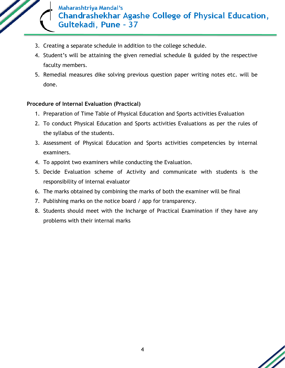

- 3. Creating a separate schedule in addition to the college schedule.
- 4. Student's will be attaining the given remedial schedule & guided by the respective faculty members.
- 5. Remedial measures dike solving previous question paper writing notes etc. will be done.

#### **Procedure of Internal Evaluation (Practical)**

- 1. Preparation of Time Table of Physical Education and Sports activities Evaluation
- 2. To conduct Physical Education and Sports activities Evaluations as per the rules of the syllabus of the students.
- 3. Assessment of Physical Education and Sports activities competencies by internal examiners.
- 4. To appoint two examiners while conducting the Evaluation.
- 5. Decide Evaluation scheme of Activity and communicate with students is the responsibility of internal evaluator
- 6. The marks obtained by combining the marks of both the examiner will be final
- 7. Publishing marks on the notice board / app for transparency.
- 8. Students should meet with the Incharge of Practical Examination if they have any problems with their internal marks

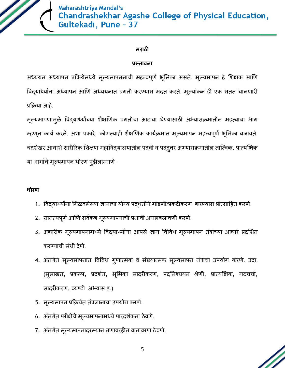

Maharashtriya Mandal's **Chandrashekhar Agashe College of Physical Education,** Gultekadi, Pune - 37

#### **मराठी**

#### **प्रस्तावना**

अध्ययन अध्यापन प्रक्रियेमध्ये मूल्यमापननाची महत्त्वपूर्ण भूमिका असते. मूल्यमापन हे शिक्षक आणि विदयार्थ्यांना अध्यापन आणि अध्ययनात प्रगती करण्यास मदत करते. मूल्यांकन ही एक सतत चालणारी प्रक्रिया आहे.

मूल्यमापणामुळे विद्यार्थ्यांच्या शैक्षणिक प्रगतीचा आढावा घेण्यासाठी अभ्यासक्रमातील महत्वाचा भाग म्हणून कार्य करते. अशा प्रकारे, कोणत्याही शैक्षणिक कार्यक्रमात मूल्यमापन महत्त्वपूर्ण भूमिका बजावते. चंद्रशेखर आगाशे शारीरिक शिक्षण महाविद्यालयातील पदवी व पद्दुत्तर अभ्यासक्रमातील तात्विक, प्रात्यक्षिक या भागांचे मूल्यमापन धोरण पुढीलप्रमाणे -

#### **धोरण**

- 1. विदयार्थ्यांना मिळवलेल्या ज्ञानाचा योग्य पदधतीने मांडणी/प्रकटीकरण करण्यास प्रोत्साहित करणे.
- 2. सातत्यपूर्ण आणि सर्वकष मूल्यमापनाची प्रभावी अमलबजावणी करणे.
- 3. अकारीक मूल्यमापनामध्ये विद्यार्थ्यांना आपले ज्ञान विविध मूल्यमापन तंत्रांच्या आधारे प्रदर्शित करण्याची संधी देणे.
- 4. अंतर्गत मूल्यमापनात विविध गुणात्मक व संख्यात्मक मूल्यमापन तंत्रांचा उपयोग करणे. उदा. (मुलाखत, प्रकल्प, प्रदर्शन, भूमिका सादरीकरण, पदनिश्चयन श्रेणी, प्रात्यक्षिक, गटचर्चा, सादरीकरर्, व्यष्टी अभ्यास इ.)
- 5. मूल्यमापन प्रक्रियेत तंत्रज्ञानाचा उपयोग करणे.
- 6. अंतर्गत परीक्षेचे मूल्यमापनामध्ये पारदर्शकता ठेवणे.
- 7. अंतर्गत मूल्यमापनादरम्यान तणावरहीत वातावरण ठेवणे.

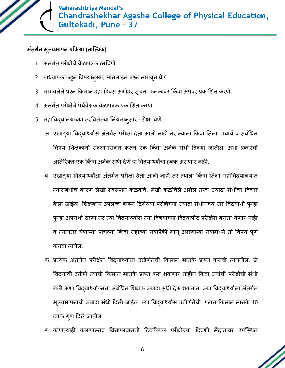

#### **अंतर्गत मूल्यमापन प्रक्रिया (तात्ववक)**

- 1. अंतर्गत परीक्षेचे वेळापत्रक ठरविणे.
- 2. प्राध्यापकांकडून विषयानुसार ऑनलाइन प्रश्न मागवून घेणे.
- 3. मागवलेले प्रश्न किमान दहा दिवस अगोदर सूचना फलकावर किंवा ॲपवर प्रकाशित करणे.
- 4. अंतर्गत परीक्षेचे पर्यवेक्षक वेळापत्रक प्रकाशित करणे.
- 5. महाविद्यालयाच्या ठरविलेल्या नियमानुसार परीक्षा घेणे.
	- अ. एखादया विदयार्थ्यास अंतर्गत परीक्षा देता आली नाही तर त्याला किंवा तिला प्राचार्य व संबंधित विषय शिक्षकांनी सल्लामसलत करून एक किंवा अनेक संधी दिल्या जातील. अशा प्रकारची अतिरिक्त एक किंवा अनेक संधी देणे हा विद्यार्थ्यांचा हक्क असणार नाही.
	- ब. एखादया विदयार्थ्याला अंतर्गत परीक्षा देता आली नाही तर त्याला किंवा तिला महाविद्यालयात त्यासंबंधीचे कारण लेखी स्वरूपात कळवावे, लेखी कळविले असेल तरच ज्यादा संधीचा विचार केला जाईल. शिक्षकाने उपलब्ध करून दिलेल्या परीक्षेच्या ज्यादा संधीमध्ये जर विद्यार्थी पुन्हा पुन्हा अपयशी ठरला तर त्या विद्यार्थ्यास त्या विषयाच्या विद्यापीठ परीक्षेस बसता येणार नाही व त्यानंतर येणाऱ्या पाचव्या किंवा सहाव्या सत्रापैकी लागू असणाऱ्या सत्रामध्ये तो विषय पूर्ण करावा लागेल.
	- क. प्रत्येक अंतर्गत परीक्षेत विद्यार्थ्यांना उत्तीर्णतेची किमान मानके प्राप्त करावी लागतील. जे विदयार्थी उत्तीर्ण त्याची किमान मानके प्राप्त करू शकणार नाहीत किंवा ज्यांची परीक्षेची संधी गेली अशा विद्यार्थ्यांकरता संबंधित शिक्षक ज्यादा संधी देऊ शकतात. ज्या विद्यार्थ्यांना अंतर्गत मूल्यमापनाची ज्यादा संधी दिली जाईल. त्या विद्यार्थ्यास उत्तीर्णतेची फक्त किमान मानके 40 टक्के गृण दिले जातील.
	- ड. कोणत्याही कारणास्तव विनापरवानगी टिटोरियल परीक्षेच्या दिवशी मैदानावर उपस्थित

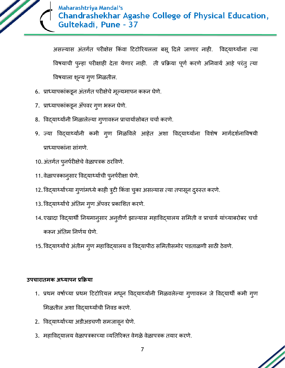

असल्यास अंतर्गत परीक्षेस किंवा टिटोरियलला बसू दिले जाणार नाही. विद्यार्थ्यांना त्या विषयाची पुन्हा परीक्षाही देता येणार नाही. ती प्रक्रिया पूर्ण करणे अनिवार्य आहे परंतु त्या विषयाला शून्य गुण मिळतील.

- 6. प्राध्यापकांकडून अंतर्गत परीक्षेचे मूल्यमापन करून घेणे.
- 7. प्राध्यापकांकडून ॲपवर गुण भरून घेणे.
- 8. विद्यार्थ्यांनी मिळालेल्या गुणावरून प्राचार्यासोबत चर्चा करणे.
- 9. ज्या विद्यार्थ्यांनी कमी गुण मिळविले आहेत अशा विद्यार्थ्यांना विशेष मार्गदर्शनाविषयी प्राध्यापकांना सांगणे.
- 10. अंतर्गत पुनर्परीक्षेचे वेळापत्रक ठरविणे.
- 11. वेळापत्रकान्**सार विद्**यार्थ्याची प्**नर्परीक्षा घेणे**.
- 12.विद्यार्थ्याच्या गुणांमध्ये काही त्रुटी किंवा चुका असल्यास त्या तपासून दुरुस्त करणे.
- 13. विद्यार्थ्यांचे अंतिम गुण ॲपवर प्रकाशित करणे.
- 14.एखादा विद्यार्थी नियमानुसार अनुतीर्ण झाल्यास महाविद्यालय समिती व प्राचार्य यांच्याबरोबर चर्चा करून अंतिम निर्णय घेणे.
- 15. विद्यार्थ्यांचे अंतीम गुण महाविद्यालय व विद्यापीठ समितीसमोर पडताळणी साठी ठेवणे.

#### **उपचारातमक अध्यापन प्रक्रिया**

- 1. प्रथम वर्षाच्या प्रथम टिटोरियल मधून विद्यार्थ्यांनी मिळवलेल्या गुणावरून जे विद्यार्थी कमी गुण मिळतील अशा विद्यार्थ्यांची निवड करणे.
- 2. विद्यार्थ्यांच्या अडीअडचणी समजावून घेणे.
- 3. महाविद्यालय वेळापत्रकाच्या व्यतिरिक्त वेगळे वेळापत्रक तयार करणे.